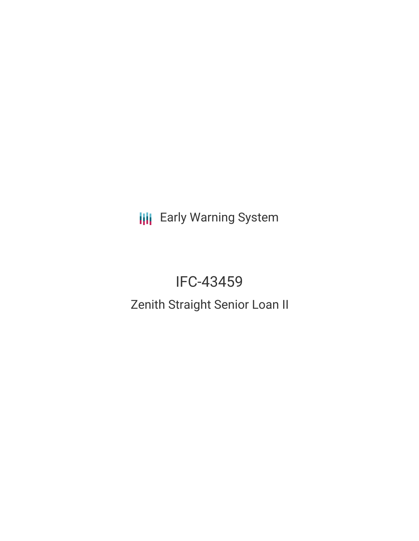**III** Early Warning System

# IFC-43459

Zenith Straight Senior Loan II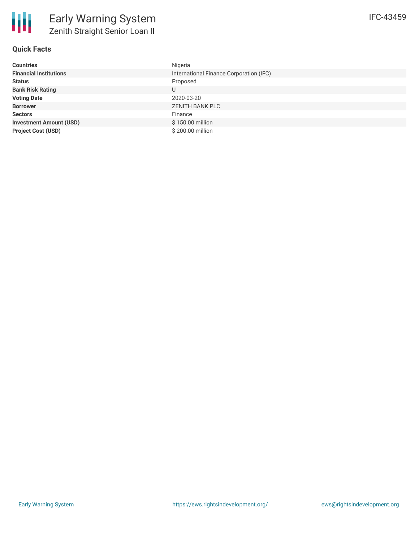

# **Quick Facts**

| <b>Countries</b>               | Nigeria                                 |
|--------------------------------|-----------------------------------------|
| <b>Financial Institutions</b>  | International Finance Corporation (IFC) |
| <b>Status</b>                  | Proposed                                |
| <b>Bank Risk Rating</b>        | U                                       |
| <b>Voting Date</b>             | 2020-03-20                              |
| <b>Borrower</b>                | <b>ZENITH BANK PLC</b>                  |
| <b>Sectors</b>                 | Finance                                 |
| <b>Investment Amount (USD)</b> | \$150.00 million                        |
| <b>Project Cost (USD)</b>      | \$200.00 million                        |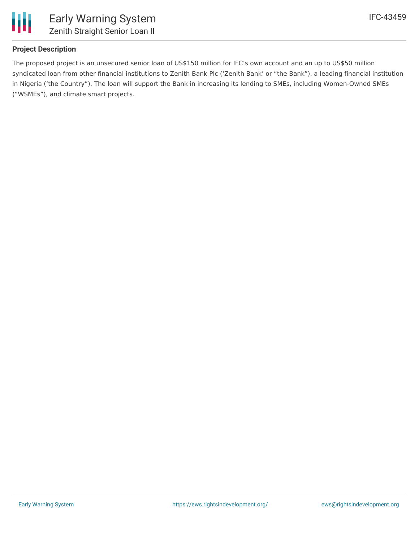

# **Project Description**

The proposed project is an unsecured senior loan of US\$150 million for IFC's own account and an up to US\$50 million syndicated loan from other financial institutions to Zenith Bank Plc ('Zenith Bank' or "the Bank"), a leading financial institution in Nigeria ('the Country"). The loan will support the Bank in increasing its lending to SMEs, including Women-Owned SMEs ("WSMEs"), and climate smart projects.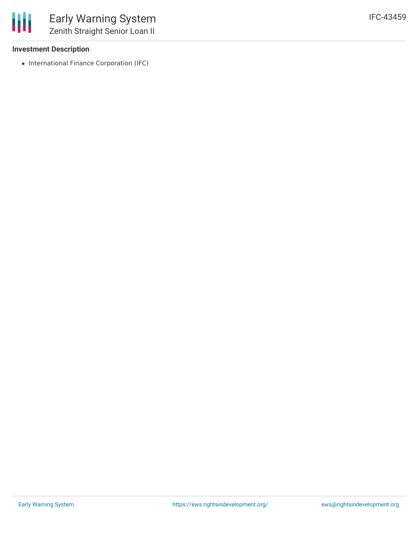#### **Investment Description**

• International Finance Corporation (IFC)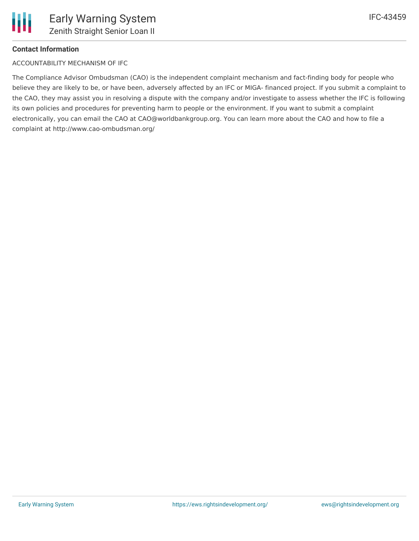

# **Contact Information**

ACCOUNTABILITY MECHANISM OF IFC

The Compliance Advisor Ombudsman (CAO) is the independent complaint mechanism and fact-finding body for people who believe they are likely to be, or have been, adversely affected by an IFC or MIGA- financed project. If you submit a complaint to the CAO, they may assist you in resolving a dispute with the company and/or investigate to assess whether the IFC is following its own policies and procedures for preventing harm to people or the environment. If you want to submit a complaint electronically, you can email the CAO at CAO@worldbankgroup.org. You can learn more about the CAO and how to file a complaint at http://www.cao-ombudsman.org/